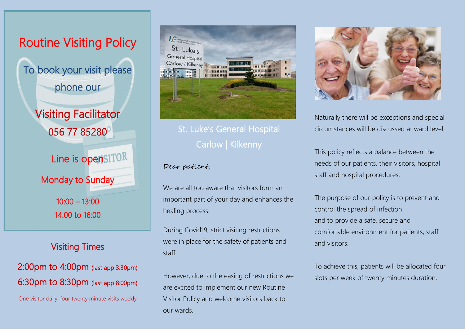

### Visiting Times

## 2:00pm to 4:00pm (last app 3:30pm) 6:30pm to 8:30pm (last app 8:00pm)

One visitor daily, four twenty minute visits weekly



# St. Luke's General Hospital Carlow | Kilkenny

### Dear patient,

We are all too aware that visitors form an important part of your day and enhances the healing process.

During Covid19; strict visiting restrictions were in place for the safety of patients and staff.

However, due to the easing of restrictions we are excited to implement our new Routine Visitor Policy and welcome visitors back to our wards.



Naturally there will be exceptions and special circumstances will be discussed at ward level.

This policy reflects a balance between the needs of our patients, their visitors, hospital staff and hospital procedures.

The purpose of our policy is to prevent and control the spread of infection and to provide a safe, secure and comfortable environment for patients, staff and visitors.

To achieve this, patients will be allocated four slots per week of twenty minutes duration.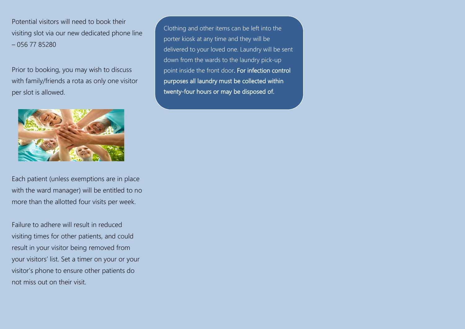Potential visitors will need to book their visiting slot via our new dedicated phone line – 056 77 85280

Prior to booking, you may wish to discuss with family/friends a rota as only one visitor per slot is allowed.



Each patient (unless exemptions are in place with the ward manager) will be entitled to no more than the allotted four visits per week.

Failure to adhere will result in reduced visiting times for other patients, and could result in your visitor being removed from your visitors' list. Set a timer on your or your visitor's phone to ensure other patients do not miss out on their visit.

Clothing and other items can be left into the porter kiosk at any time and they will be delivered to your loved one. Laundry will be sent down from the wards to the laundry pick-up point inside the front door. For infection control purposes all laundry must be collected within twenty-four hours or may be disposed of.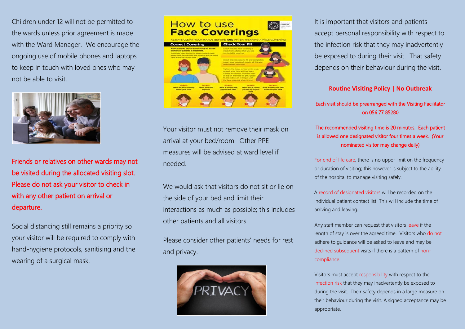Children under 12 will not be permitted to the wards unless prior agreement is made with the Ward Manager. We encourage the ongoing use of mobile phones and laptops to keep in touch with loved ones who may not be able to visit.



Friends or relatives on other wards may not be visited during the allocated visiting slot. Please do not ask your visitor to check in with any other patient on arrival or departure.

Social distancing still remains a priority so your visitor will be required to comply with hand-hygiene protocols, sanitising and the wearing of a surgical mask.



Your visitor must not remove their mask on arrival at your bed/room. Other PPE measures will be advised at ward level if needed.

We would ask that visitors do not sit or lie on the side of your bed and limit their interactions as much as possible; this includes other patients and all visitors.

Please consider other patients' needs for rest and privacy.



It is important that visitors and patients accept personal responsibility with respect to the infection risk that they may inadvertently be exposed to during their visit. That safety depends on their behaviour during the visit.

R**outine Visiting Policy | No Outbreak**

Each visit should be prearranged with the Visiting Facilitator on 056 77 85280

#### The recommended visiting time is 20 minutes. Each patient is allowed one designated visitor four times a week. (Your nominated visitor may change daily)

For end of life care, there is no upper limit on the frequency or duration of visiting; this however is subject to the ability of the hospital to manage visiting safely.

A record of designated visitors will be recorded on the individual patient contact list. This will include the time of arriving and leaving.

Any staff member can request that visitors leave if the length of stay is over the agreed time. Visitors who do not adhere to guidance will be asked to leave and may be declined subsequent visits if there is a pattern of noncompliance.

Visitors must accept responsibility with respect to the infection risk that they may inadvertently be exposed to during the visit. Their safety depends in a large measure on their behaviour during the visit. A signed acceptance may be appropriate.